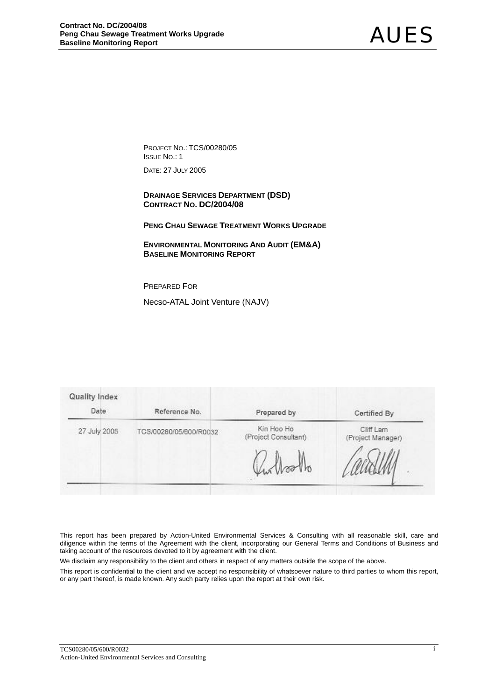PROJECT NO.: TCS/00280/05 ISSUE NO.: 1

DATE: 27 JULY 2005

 **DRAINAGE SERVICES DEPARTMENT (DSD) CONTRACT NO. DC/2004/08** 

**PENG CHAU SEWAGE TREATMENT WORKS UPGRADE**

 **ENVIRONMENTAL MONITORING AND AUDIT (EM&A) BASELINE MONITORING REPORT**

PREPARED FOR

Necso-ATAL Joint Venture (NAJV)

| Quality Index<br>Date | Reference No.          | Prepared by                        | Certified By                   |
|-----------------------|------------------------|------------------------------------|--------------------------------|
| 27 July 2005          | TCS/00280/05/600/R0032 | Kin Hoo Ho<br>(Project Consultant) | Cliff Lam<br>(Project Manager) |
|                       |                        |                                    |                                |
|                       |                        | rollo                              |                                |

This report has been prepared by Action-United Environmental Services & Consulting with all reasonable skill, care and diligence within the terms of the Agreement with the client, incorporating our General Terms and Conditions of Business and taking account of the resources devoted to it by agreement with the client.

We disclaim any responsibility to the client and others in respect of any matters outside the scope of the above.

This report is confidential to the client and we accept no responsibility of whatsoever nature to third parties to whom this report, or any part thereof, is made known. Any such party relies upon the report at their own risk.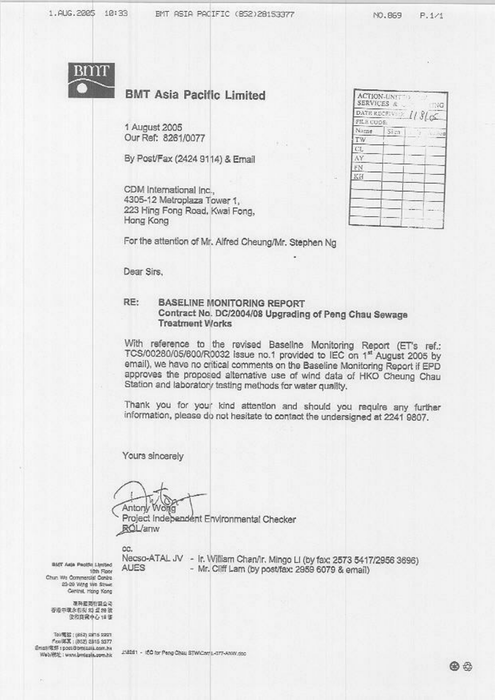NO.869  $P.1/1$ 



# **BMT Asia Pacific Limited**

1 August 2005 Our Ref: 8261/0077

By Post/Fax (2424 9114) & Email

CDM International Inc... 4305-12 Metroplaza Tower 1. 223 Hing Fong Road, Kwai Fong, Hong Kong

|            | DATE RECEIVER $1/3$ ( $\sigma$ |         |         |
|------------|--------------------------------|---------|---------|
| FILE CODE: |                                |         |         |
| Name       | Sign                           | $-1000$ | 16-1800 |
| TW         |                                |         |         |
| CL.        |                                |         |         |
| AY         |                                |         |         |
| FΝ         |                                |         |         |
| KH         |                                |         |         |
|            |                                |         |         |
|            |                                |         |         |
|            |                                |         |         |

For the attention of Mr. Alfred Cheung/Mr. Stephen Ng

Dear Sirs,

#### RE: **BASELINE MONITORING REPORT** Contract No. DC/2004/08 Upgrading of Peng Chau Sewage **Treatment Works**

With reference to the revised Baseline Monitoring Report (ET's ref.: TCS/00280/05/600/R0032 issue no.1 provided to IEC on 1st August 2005 by email), we have no critical comments on the Baseline Monitoring Report if EPD approves the proposed alternative use of wind data of HKO Cheung Chau Station and laboratory testing methods for water quality,

Thank you for your kind attention and should you require any further information, please do not hesitate to contact the undersigned at 2241 9807.

Yours sincerely

Antony World

Project Indebendent Environmental Checker **ROL/anw** 

cc.

BMY Asja Pacific Limited 10th Floor Chun Wo Commercial Contra 23-29 Wing We Street Centret, Hong Kong

連絡装置程度公開 否没中国永阳经 23 显 29 放 **促和商業中心18 課** 

Tol/魔器: (852) san5 sast) fax(第3): (852) 2815 5377 Email/電炉 : post@bmjaaia.com.hk Web/RSE: www.bmtesla.com.hk

Necso-ATAL JV - Ir. William Chan/Ir. Mingo LI (by fax: 2573 5417/2956 3696) **AUES** - Mr. Cliff Lam (by post/fax: 2959 6079 & email)

J18261 - ISO for Peng Chau STWiCer(1-077-ANW.doc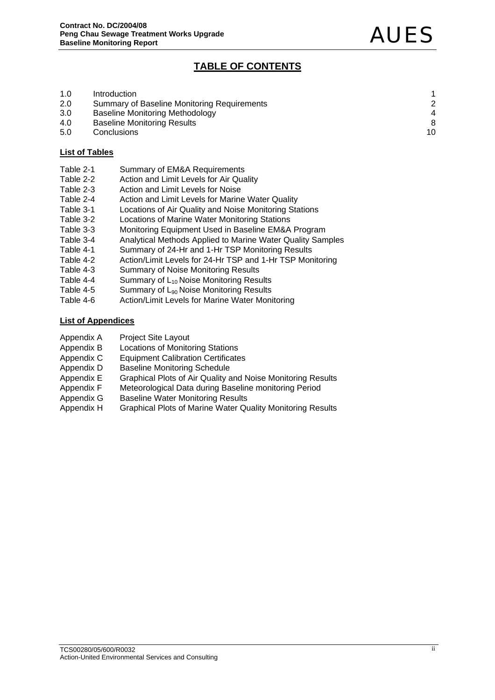# **TABLE OF CONTENTS**

| 1.0 | Introduction                                |                |
|-----|---------------------------------------------|----------------|
| 2.0 | Summary of Baseline Monitoring Requirements |                |
| 3.0 | <b>Baseline Monitoring Methodology</b>      | $\overline{4}$ |
| 4.0 | <b>Baseline Monitoring Results</b>          | 8              |
| 5.0 | Conclusions                                 | 10             |

# **List of Tables**

- Table 2-1 Summary of EM&A Requirements
- Table 2-2 Action and Limit Levels for Air Quality
- Table 2-3 Action and Limit Levels for Noise
- Table 2-4 Action and Limit Levels for Marine Water Quality
- Table 3-1 Locations of Air Quality and Noise Monitoring Stations
- Table 3-2 Locations of Marine Water Monitoring Stations
- Table 3-3 Monitoring Equipment Used in Baseline EM&A Program
- Table 3-4 Analytical Methods Applied to Marine Water Quality Samples
- Table 4-1 Summary of 24-Hr and 1-Hr TSP Monitoring Results
- Table 4-2 Action/Limit Levels for 24-Hr TSP and 1-Hr TSP Monitoring
- Table 4-3 Summary of Noise Monitoring Results
- Table 4-4 Summary of  $L_{10}$  Noise Monitoring Results
- Table 4-5 Summary of  $L_{90}$  Noise Monitoring Results<br>Table 4-6 Action/Limit Levels for Marine Water Moni
- Action/Limit Levels for Marine Water Monitoring

# **List of Appendices**

- Appendix A Project Site Layout
- Appendix B Locations of Monitoring Stations
- Appendix C Equipment Calibration Certificates
- 
- Appendix D Baseline Monitoring Schedule<br>Appendix E Graphical Plots of Air Quality a Graphical Plots of Air Quality and Noise Monitoring Results
- Appendix F Meteorological Data during Baseline monitoring Period
- Appendix G Baseline Water Monitoring Results
- Appendix H Graphical Plots of Marine Water Quality Monitoring Results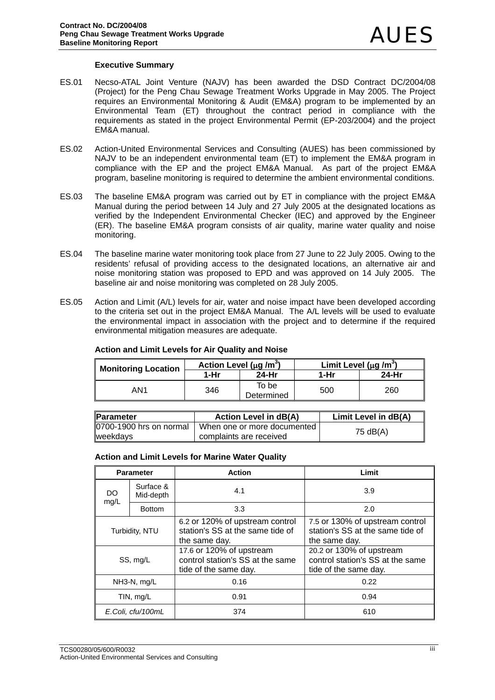# **Executive Summary**

- ES.01 Necso-ATAL Joint Venture (NAJV) has been awarded the DSD Contract DC/2004/08 (Project) for the Peng Chau Sewage Treatment Works Upgrade in May 2005. The Project requires an Environmental Monitoring & Audit (EM&A) program to be implemented by an Environmental Team (ET) throughout the contract period in compliance with the requirements as stated in the project Environmental Permit (EP-203/2004) and the project EM&A manual.
- ES.02 Action-United Environmental Services and Consulting (AUES) has been commissioned by NAJV to be an independent environmental team (ET) to implement the EM&A program in compliance with the EP and the project EM&A Manual. As part of the project EM&A program, baseline monitoring is required to determine the ambient environmental conditions.
- ES.03 The baseline EM&A program was carried out by ET in compliance with the project EM&A Manual during the period between 14 July and 27 July 2005 at the designated locations as verified by the Independent Environmental Checker (IEC) and approved by the Engineer (ER). The baseline EM&A program consists of air quality, marine water quality and noise monitoring.
- ES.04 The baseline marine water monitoring took place from 27 June to 22 July 2005. Owing to the residents' refusal of providing access to the designated locations, an alternative air and noise monitoring station was proposed to EPD and was approved on 14 July 2005. The baseline air and noise monitoring was completed on 28 July 2005.
- ES.05 Action and Limit (A/L) levels for air, water and noise impact have been developed according to the criteria set out in the project EM&A Manual. The A/L levels will be used to evaluate the environmental impact in association with the project and to determine if the required environmental mitigation measures are adequate.

| <b>Monitoring Location</b> | Action Level ( $\mu$ g /m <sup>3</sup> ) |                     | Limit Level ( $\mu$ g /m <sup>3</sup> ) |       |
|----------------------------|------------------------------------------|---------------------|-----------------------------------------|-------|
|                            | 1-Hr                                     | 24-Hr               | 1-Hr                                    | 24-Hr |
| AN1                        | 346                                      | To be<br>Determined | 500                                     | 260   |

#### **Action and Limit Levels for Air Quality and Noise**

| <b>IParameter</b>       | <b>Action Level in dB(A)</b>    | Limit Level in dB(A) |
|-------------------------|---------------------------------|----------------------|
| 0700-1900 hrs on normal | U When one or more documented b | 75 dB(A)             |
| weekdays                | complaints are received         |                      |

#### **Action and Limit Levels for Marine Water Quality**

|                   | <b>Parameter</b>       | <b>Action</b>                                                                         | Limit                                                                                 |
|-------------------|------------------------|---------------------------------------------------------------------------------------|---------------------------------------------------------------------------------------|
| DO.<br>mg/L       | Surface &<br>Mid-depth | 4.1                                                                                   | 3.9                                                                                   |
|                   | <b>Bottom</b>          | 3.3                                                                                   | 2.0                                                                                   |
|                   | Turbidity, NTU         | 6.2 or 120% of upstream control<br>station's SS at the same tide of<br>the same day.  | 7.5 or 130% of upstream control<br>station's SS at the same tide of<br>the same day.  |
| SS, mg/L          |                        | 17.6 or 120% of upstream<br>control station's SS at the same<br>tide of the same day. | 20.2 or 130% of upstream<br>control station's SS at the same<br>tide of the same day. |
|                   | NH3-N, mg/L            | 0.16                                                                                  | 0.22                                                                                  |
| TIN, mg/L         |                        | 0.91                                                                                  | 0.94                                                                                  |
| E.Coli, cfu/100mL |                        | 374                                                                                   | 610                                                                                   |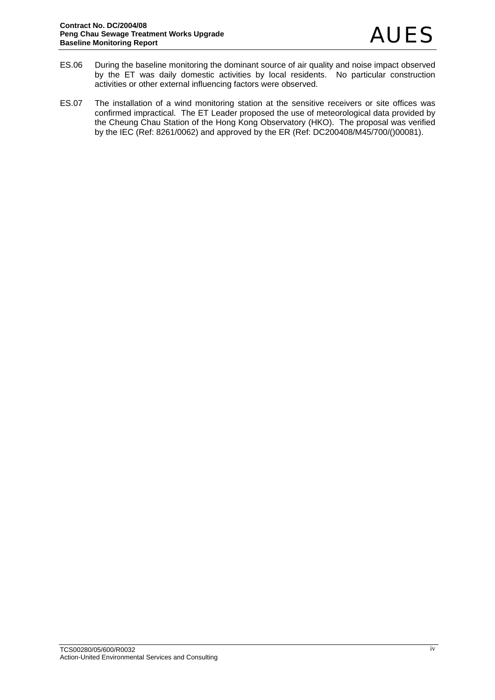- ES.06 During the baseline monitoring the dominant source of air quality and noise impact observed by the ET was daily domestic activities by local residents. No particular construction activities or other external influencing factors were observed.
- ES.07 The installation of a wind monitoring station at the sensitive receivers or site offices was confirmed impractical. The ET Leader proposed the use of meteorological data provided by the Cheung Chau Station of the Hong Kong Observatory (HKO). The proposal was verified by the IEC (Ref: 8261/0062) and approved by the ER (Ref: DC200408/M45/700/()00081).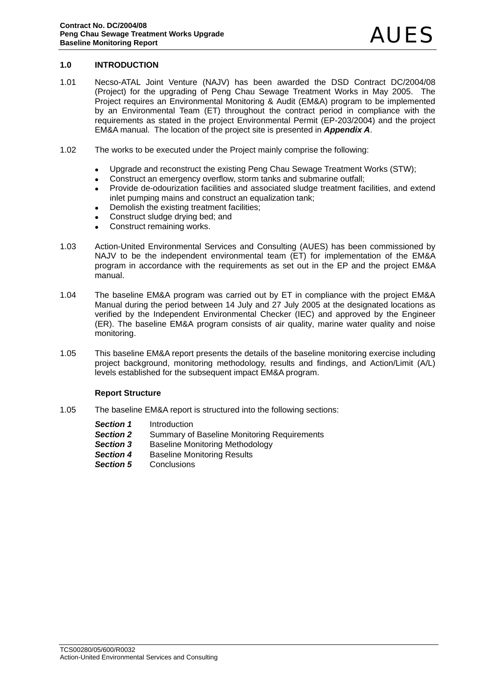# **1.0 INTRODUCTION**

- 1.01 Necso-ATAL Joint Venture (NAJV) has been awarded the DSD Contract DC/2004/08 (Project) for the upgrading of Peng Chau Sewage Treatment Works in May 2005. The Project requires an Environmental Monitoring & Audit (EM&A) program to be implemented by an Environmental Team (ET) throughout the contract period in compliance with the requirements as stated in the project Environmental Permit (EP-203/2004) and the project EM&A manual. The location of the project site is presented in *Appendix A*.
- 1.02 The works to be executed under the Project mainly comprise the following:
	- Upgrade and reconstruct the existing Peng Chau Sewage Treatment Works (STW);
	- Construct an emergency overflow, storm tanks and submarine outfall:
	- Provide de-odourization facilities and associated sludge treatment facilities, and extend inlet pumping mains and construct an equalization tank;
	- Demolish the existing treatment facilities:
	- Construct sludge drying bed; and
	- Construct remaining works.
- 1.03 Action-United Environmental Services and Consulting (AUES) has been commissioned by NAJV to be the independent environmental team (ET) for implementation of the EM&A program in accordance with the requirements as set out in the EP and the project EM&A manual.
- 1.04 The baseline EM&A program was carried out by ET in compliance with the project EM&A Manual during the period between 14 July and 27 July 2005 at the designated locations as verified by the Independent Environmental Checker (IEC) and approved by the Engineer (ER). The baseline EM&A program consists of air quality, marine water quality and noise monitoring.
- 1.05 This baseline EM&A report presents the details of the baseline monitoring exercise including project background, monitoring methodology, results and findings, and Action/Limit (A/L) levels established for the subsequent impact EM&A program.

# **Report Structure**

- 1.05 The baseline EM&A report is structured into the following sections:
	- *Section 1* Introduction
	- **Section 2** Summary of Baseline Monitoring Requirements
	- **Section 3** Baseline Monitoring Methodology
	- **Section 4** Baseline Monitoring Results
	- **Section 5** Conclusions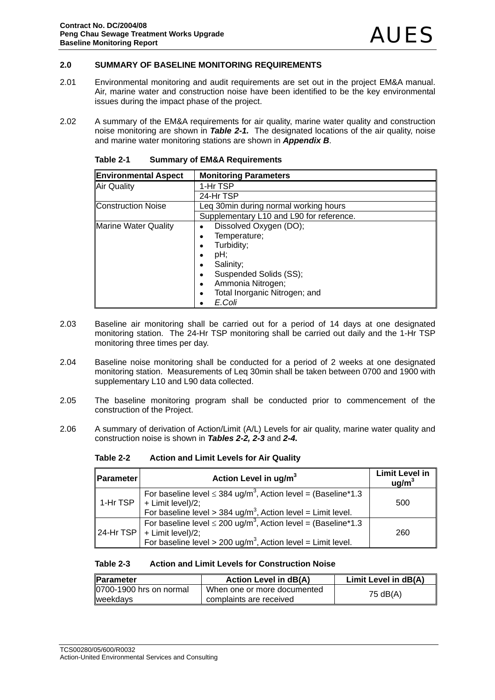# **2.0 SUMMARY OF BASELINE MONITORING REQUIREMENTS**

- 2.01 Environmental monitoring and audit requirements are set out in the project EM&A manual. Air, marine water and construction noise have been identified to be the key environmental issues during the impact phase of the project.
- 2.02 A summary of the EM&A requirements for air quality, marine water quality and construction noise monitoring are shown in *Table 2-1.* The designated locations of the air quality, noise and marine water monitoring stations are shown in *Appendix B*.

| <b>Environmental Aspect</b> | <b>Monitoring Parameters</b>               |
|-----------------------------|--------------------------------------------|
| <b>Air Quality</b>          | 1-Hr TSP                                   |
|                             | 24-Hr TSP                                  |
| <b>Construction Noise</b>   | Leg 30min during normal working hours      |
|                             | Supplementary L10 and L90 for reference.   |
| <b>Marine Water Quality</b> | Dissolved Oxygen (DO);<br>$\bullet$        |
|                             | Temperature;<br>٠                          |
|                             | Turbidity;<br>٠                            |
|                             | pH;<br>٠                                   |
|                             | Salinity;<br>٠                             |
|                             | Suspended Solids (SS);<br>٠                |
|                             | Ammonia Nitrogen;<br>$\bullet$             |
|                             | Total Inorganic Nitrogen; and<br>$\bullet$ |
|                             | E.Coli                                     |

**Table 2-1 Summary of EM&A Requirements** 

- 2.03 Baseline air monitoring shall be carried out for a period of 14 days at one designated monitoring station. The 24-Hr TSP monitoring shall be carried out daily and the 1-Hr TSP monitoring three times per day.
- 2.04 Baseline noise monitoring shall be conducted for a period of 2 weeks at one designated monitoring station. Measurements of Leq 30min shall be taken between 0700 and 1900 with supplementary L10 and L90 data collected.
- 2.05 The baseline monitoring program shall be conducted prior to commencement of the construction of the Project.
- 2.06 A summary of derivation of Action/Limit (A/L) Levels for air quality, marine water quality and construction noise is shown in *Tables 2-2, 2-3* and *2-4.*

**Table 2-2 Action and Limit Levels for Air Quality** 

| Parameter | Action Level in ug/m <sup>3</sup>                                                                                                                                                                 | <b>Limit Level in</b><br>uq/m <sup>3</sup> |
|-----------|---------------------------------------------------------------------------------------------------------------------------------------------------------------------------------------------------|--------------------------------------------|
| 1-Hr TSP  | For baseline level $\leq$ 384 ug/m <sup>3</sup> , Action level = (Baseline*1.3)<br>$+$ Limit level)/2;<br>For baseline level > 384 ug/m <sup>3</sup> , Action level = Limit level.                | 500                                        |
|           | For baseline level $\leq$ 200 ug/m <sup>3</sup> , Action level = (Baseline*1.3<br>$ 24$ -Hr TSP $ $ + Limit level)/2;<br>For baseline level > 200 ug/m <sup>3</sup> , Action level = Limit level. | 260                                        |

# **Table 2-3 Action and Limit Levels for Construction Noise**

| <b>IParameter</b>       | Action Level in dB(A)       | Limit Level in dB(A) |
|-------------------------|-----------------------------|----------------------|
| 0700-1900 hrs on normal | When one or more documented | 75 dB(A)             |
| weekdays                | complaints are received     |                      |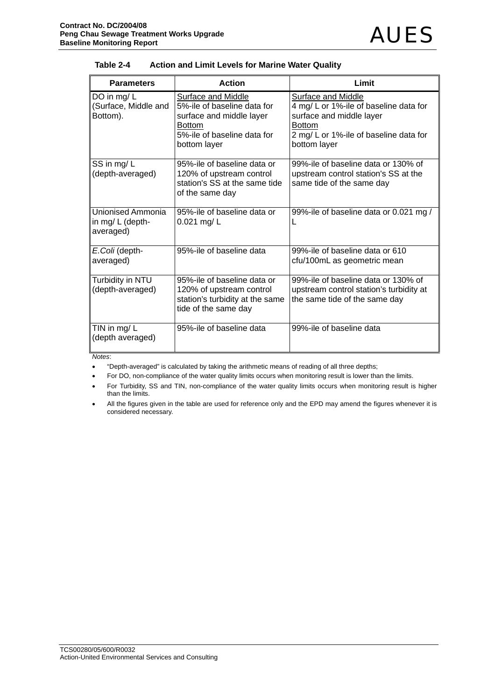Unionised Ammonia in mg/ L (depthaveraged)

*E.Coli* (depthaveraged)

Turbidity in NTU (depth-averaged)

TIN in mg/ L (depth averaged)

| Contract No. DC/2004/08<br><b>AUES</b><br>Peng Chau Sewage Treatment Works Upgrade<br><b>Baseline Monitoring Report</b><br>Table 2-4<br><b>Action and Limit Levels for Marine Water Quality</b> |                                                                                                                                               |                                                                                                                                                                     |
|-------------------------------------------------------------------------------------------------------------------------------------------------------------------------------------------------|-----------------------------------------------------------------------------------------------------------------------------------------------|---------------------------------------------------------------------------------------------------------------------------------------------------------------------|
| <b>Parameters</b>                                                                                                                                                                               | <b>Action</b>                                                                                                                                 | Limit                                                                                                                                                               |
| DO in mg/L<br>(Surface, Middle and<br>Bottom).                                                                                                                                                  | Surface and Middle<br>5%-ile of baseline data for<br>surface and middle layer<br><b>Bottom</b><br>5%-ile of baseline data for<br>bottom layer | Surface and Middle<br>4 mg/ L or 1%-ile of baseline data for<br>surface and middle layer<br><b>Bottom</b><br>2 mg/ L or 1%-ile of baseline data for<br>bottom layer |
| SS in mg/L<br>(depth-averaged)                                                                                                                                                                  | 95%-ile of baseline data or<br>120% of upstream control<br>station's SS at the same tide<br>of the same day                                   | 99%-ile of baseline data or 130% of<br>upstream control station's SS at the<br>same tide of the same day                                                            |

 $\mathbf{L}$ 

95%-ile of baseline data 99%-ile of baseline data or 610

99%-ile of baseline data or 0.021 mg /

cfu/100mL as geometric mean

99%-ile of baseline data or 130% of upstream control station's turbidity at the same tide of the same day

| <b>Action and Limit Levels for Marine Water Quality</b><br>Table 2-4 |  |  |
|----------------------------------------------------------------------|--|--|
|----------------------------------------------------------------------|--|--|

95%-ile of baseline data or

95%-ile of baseline data or 120% of upstream control station's turbidity at the same

tide of the same day

0.021 mg/ L

*Notes*:

• "Depth-averaged" is calculated by taking the arithmetic means of reading of all three depths;

• For DO, non-compliance of the water quality limits occurs when monitoring result is lower than the limits.

• For Turbidity, SS and TIN, non-compliance of the water quality limits occurs when monitoring result is higher than the limits.

95%-ile of baseline data 99%-ile of baseline data

All the figures given in the table are used for reference only and the EPD may amend the figures whenever it is considered necessary.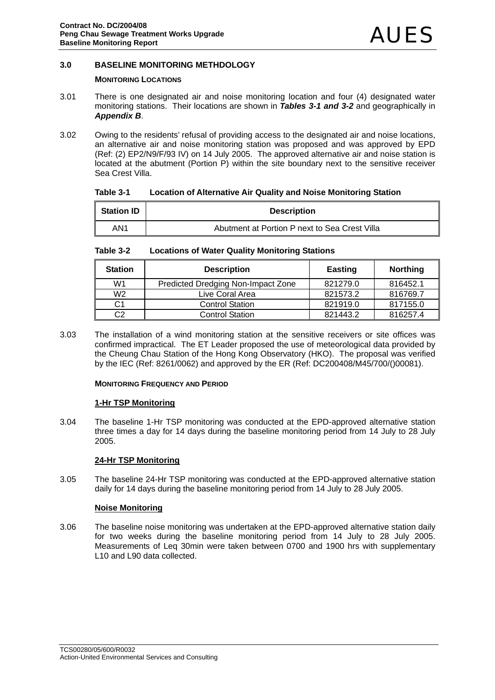# **3.0 BASELINE MONITORING METHDOLOGY**

# **MONITORING LOCATIONS**

- 3.01 There is one designated air and noise monitoring location and four (4) designated water monitoring stations. Their locations are shown in *Tables 3-1 and 3-2* and geographically in *Appendix B*.
- 3.02 Owing to the residents' refusal of providing access to the designated air and noise locations, an alternative air and noise monitoring station was proposed and was approved by EPD (Ref: (2) EP2/N9/F/93 IV) on 14 July 2005. The approved alternative air and noise station is located at the abutment (Portion P) within the site boundary next to the sensitive receiver Sea Crest Villa.

# **Table 3-1 Location of Alternative Air Quality and Noise Monitoring Station**

| <b>Station ID</b> | <b>Description</b>                            |
|-------------------|-----------------------------------------------|
| AN1               | Abutment at Portion P next to Sea Crest Villa |

# **Table 3-2 Locations of Water Quality Monitoring Stations**

| <b>Station</b> | <b>Description</b>                 | <b>Easting</b> | <b>Northing</b> |
|----------------|------------------------------------|----------------|-----------------|
| W1             | Predicted Dredging Non-Impact Zone | 821279.0       | 816452.1        |
| W <sub>2</sub> | Live Coral Area                    | 821573.2       | 816769.7        |
| C1             | <b>Control Station</b>             | 821919.0       | 817155.0        |
| C2             | <b>Control Station</b>             | 821443.2       | 816257.4        |

3.03 The installation of a wind monitoring station at the sensitive receivers or site offices was confirmed impractical. The ET Leader proposed the use of meteorological data provided by the Cheung Chau Station of the Hong Kong Observatory (HKO). The proposal was verified by the IEC (Ref: 8261/0062) and approved by the ER (Ref: DC200408/M45/700/()00081).

# **MONITORING FREQUENCY AND PERIOD**

# **1-Hr TSP Monitoring**

3.04 The baseline 1-Hr TSP monitoring was conducted at the EPD-approved alternative station three times a day for 14 days during the baseline monitoring period from 14 July to 28 July 2005.

# **24-Hr TSP Monitoring**

3.05 The baseline 24-Hr TSP monitoring was conducted at the EPD-approved alternative station daily for 14 days during the baseline monitoring period from 14 July to 28 July 2005.

# **Noise Monitoring**

3.06 The baseline noise monitoring was undertaken at the EPD-approved alternative station daily for two weeks during the baseline monitoring period from 14 July to 28 July 2005. Measurements of Leq 30min were taken between 0700 and 1900 hrs with supplementary L10 and L90 data collected.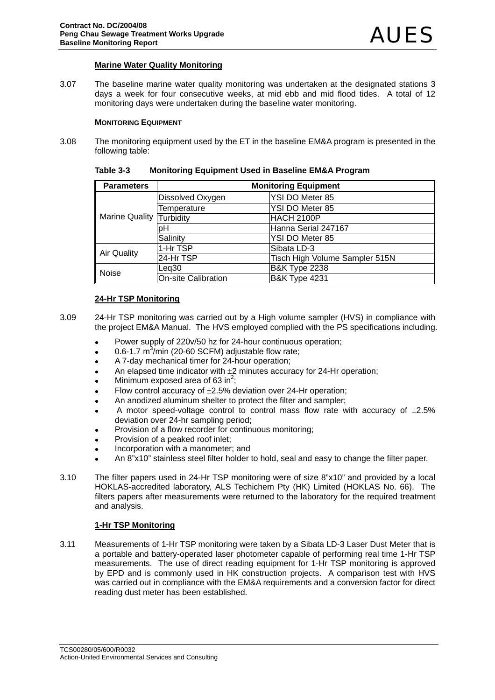# **Marine Water Quality Monitoring**

3.07 The baseline marine water quality monitoring was undertaken at the designated stations 3 days a week for four consecutive weeks, at mid ebb and mid flood tides. A total of 12 monitoring days were undertaken during the baseline water monitoring.

# **MONITORING EQUIPMENT**

3.08 The monitoring equipment used by the ET in the baseline EM&A program is presented in the following table:

| <b>Parameters</b>        | <b>Monitoring Equipment</b> |                                |  |  |  |  |
|--------------------------|-----------------------------|--------------------------------|--|--|--|--|
|                          | Dissolved Oxygen            | YSI DO Meter 85                |  |  |  |  |
|                          | Temperature                 | YSI DO Meter 85                |  |  |  |  |
| Marine Quality Turbidity |                             | <b>HACH 2100P</b>              |  |  |  |  |
|                          | nН                          | Hanna Serial 247167            |  |  |  |  |
|                          | Salinity                    | YSI DO Meter 85                |  |  |  |  |
| <b>Air Quality</b>       | 1-Hr TSP                    | Sibata LD-3                    |  |  |  |  |
|                          | 24-Hr TSP                   | Tisch High Volume Sampler 515N |  |  |  |  |
| Noise                    | Leg30                       | <b>B&amp;K Type 2238</b>       |  |  |  |  |
|                          | <b>On-site Calibration</b>  | <b>B&amp;K Type 4231</b>       |  |  |  |  |

# **Table 3-3 Monitoring Equipment Used in Baseline EM&A Program**

# **24-Hr TSP Monitoring**

- 3.09 24-Hr TSP monitoring was carried out by a High volume sampler (HVS) in compliance with the project EM&A Manual. The HVS employed complied with the PS specifications including.
	- Power supply of 220v/50 hz for 24-hour continuous operation;
	- $\bullet$  0.6-1.7 m<sup>3</sup>/min (20-60 SCFM) adjustable flow rate;
	- A 7-day mechanical timer for 24-hour operation;
	- An elapsed time indicator with  $\pm 2$  minutes accuracy for 24-Hr operation;
	- Minimum exposed area of 63 in<sup>2</sup>;
	- Flow control accuracy of  $\pm 2.5$ % deviation over 24-Hr operation;
	- An anodized aluminum shelter to protect the filter and sampler;
	- A motor speed-voltage control to control mass flow rate with accuracy of  $\pm 2.5\%$ deviation over 24-hr sampling period;
	- Provision of a flow recorder for continuous monitoring;
	- Provision of a peaked roof inlet:
	- Incorporation with a manometer; and
	- An 8"x10" stainless steel filter holder to hold, seal and easy to change the filter paper.
- 3.10 The filter papers used in 24-Hr TSP monitoring were of size 8"x10" and provided by a local HOKLAS-accredited laboratory, ALS Techichem Pty (HK) Limited (HOKLAS No. 66). The filters papers after measurements were returned to the laboratory for the required treatment and analysis.

#### **1-Hr TSP Monitoring**

3.11 Measurements of 1-Hr TSP monitoring were taken by a Sibata LD-3 Laser Dust Meter that is a portable and battery-operated laser photometer capable of performing real time 1-Hr TSP measurements. The use of direct reading equipment for 1-Hr TSP monitoring is approved by EPD and is commonly used in HK construction projects. A comparison test with HVS was carried out in compliance with the EM&A requirements and a conversion factor for direct reading dust meter has been established.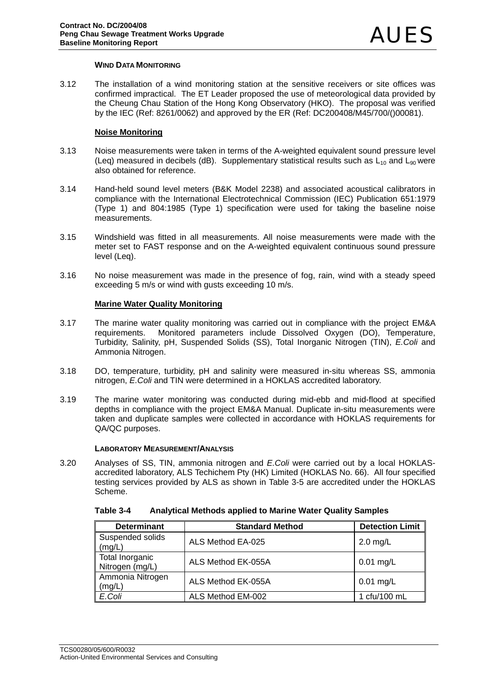# **WIND DATA MONITORING**

3.12 The installation of a wind monitoring station at the sensitive receivers or site offices was confirmed impractical. The ET Leader proposed the use of meteorological data provided by the Cheung Chau Station of the Hong Kong Observatory (HKO). The proposal was verified by the IEC (Ref: 8261/0062) and approved by the ER (Ref: DC200408/M45/700/()00081).

# **Noise Monitoring**

- 3.13 Noise measurements were taken in terms of the A-weighted equivalent sound pressure level (Leq) measured in decibels (dB). Supplementary statistical results such as  $L_{10}$  and  $L_{90}$  were also obtained for reference.
- 3.14 Hand-held sound level meters (B&K Model 2238) and associated acoustical calibrators in compliance with the International Electrotechnical Commission (IEC) Publication 651:1979 (Type 1) and 804:1985 (Type 1) specification were used for taking the baseline noise measurements.
- 3.15 Windshield was fitted in all measurements. All noise measurements were made with the meter set to FAST response and on the A-weighted equivalent continuous sound pressure level (Leq).
- 3.16 No noise measurement was made in the presence of fog, rain, wind with a steady speed exceeding 5 m/s or wind with gusts exceeding 10 m/s.

# **Marine Water Quality Monitoring**

- 3.17 The marine water quality monitoring was carried out in compliance with the project EM&A requirements. Monitored parameters include Dissolved Oxygen (DO), Temperature, Turbidity, Salinity, pH, Suspended Solids (SS), Total Inorganic Nitrogen (TIN), *E.Coli* and Ammonia Nitrogen.
- 3.18 DO, temperature, turbidity, pH and salinity were measured in-situ whereas SS, ammonia nitrogen, *E.Coli* and TIN were determined in a HOKLAS accredited laboratory.
- 3.19 The marine water monitoring was conducted during mid-ebb and mid-flood at specified depths in compliance with the project EM&A Manual. Duplicate in-situ measurements were taken and duplicate samples were collected in accordance with HOKLAS requirements for QA/QC purposes.

#### **LABORATORY MEASUREMENT/ANALYSIS**

3.20 Analyses of SS, TIN, ammonia nitrogen and *E.Coli* were carried out by a local HOKLASaccredited laboratory, ALS Techichem Pty (HK) Limited (HOKLAS No. 66). All four specified testing services provided by ALS as shown in Table 3-5 are accredited under the HOKLAS Scheme.

| Analytical Methods applied to Marine Water Quality Samples<br>Table 3-4 |
|-------------------------------------------------------------------------|
|-------------------------------------------------------------------------|

| <b>Determinant</b>                 | <b>Standard Method</b> | <b>Detection Limit</b> |
|------------------------------------|------------------------|------------------------|
| Suspended solids<br>(mg/L)         | ALS Method EA-025      | $2.0$ mg/L             |
| Total Inorganic<br>Nitrogen (mg/L) | ALS Method EK-055A     | $0.01$ mg/L            |
| Ammonia Nitrogen<br>(mg/L)         | ALS Method EK-055A     | $0.01$ mg/L            |
| E.Coli                             | ALS Method EM-002      | 1 cfu/100 mL           |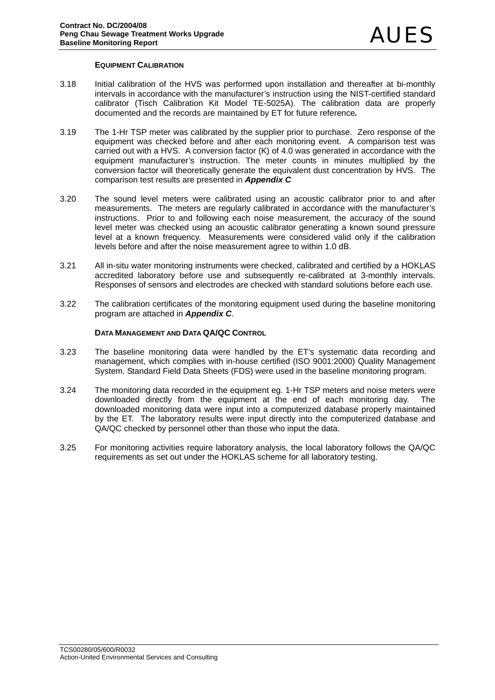# **EQUIPMENT CALIBRATION**

- 3.18 Initial calibration of the HVS was performed upon installation and thereafter at bi-monthly intervals in accordance with the manufacturer's instruction using the NIST-certified standard calibrator (Tisch Calibration Kit Model TE-5025A). The calibration data are properly documented and the records are maintained by ET for future reference*.*
- 3.19 The 1-Hr TSP meter was calibrated by the supplier prior to purchase. Zero response of the equipment was checked before and after each monitoring event. A comparison test was carried out with a HVS. A conversion factor (K) of 4.0 was generated in accordance with the equipment manufacturer's instruction. The meter counts in minutes multiplied by the conversion factor will theoretically generate the equivalent dust concentration by HVS. The comparison test results are presented in *Appendix C*
- 3.20 The sound level meters were calibrated using an acoustic calibrator prior to and after measurements. The meters are regularly calibrated in accordance with the manufacturer's instructions. Prior to and following each noise measurement, the accuracy of the sound level meter was checked using an acoustic calibrator generating a known sound pressure level at a known frequency. Measurements were considered valid only if the calibration levels before and after the noise measurement agree to within 1.0 dB.
- 3.21 All in-situ water monitoring instruments were checked, calibrated and certified by a HOKLAS accredited laboratory before use and subsequently re-calibrated at 3-monthly intervals. Responses of sensors and electrodes are checked with standard solutions before each use.
- 3.22 The calibration certificates of the monitoring equipment used during the baseline monitoring program are attached in *Appendix C*.

# **DATA MANAGEMENT AND DATA QA/QC CONTROL**

- 3.23 The baseline monitoring data were handled by the ET's systematic data recording and management, which complies with in-house certified (ISO 9001:2000) Quality Management System. Standard Field Data Sheets (FDS) were used in the baseline monitoring program.
- 3.24 The monitoring data recorded in the equipment eg. 1-Hr TSP meters and noise meters were downloaded directly from the equipment at the end of each monitoring day. The downloaded monitoring data were input into a computerized database properly maintained by the ET. The laboratory results were input directly into the computerized database and QA/QC checked by personnel other than those who input the data.
- 3.25 For monitoring activities require laboratory analysis, the local laboratory follows the QA/QC requirements as set out under the HOKLAS scheme for all laboratory testing.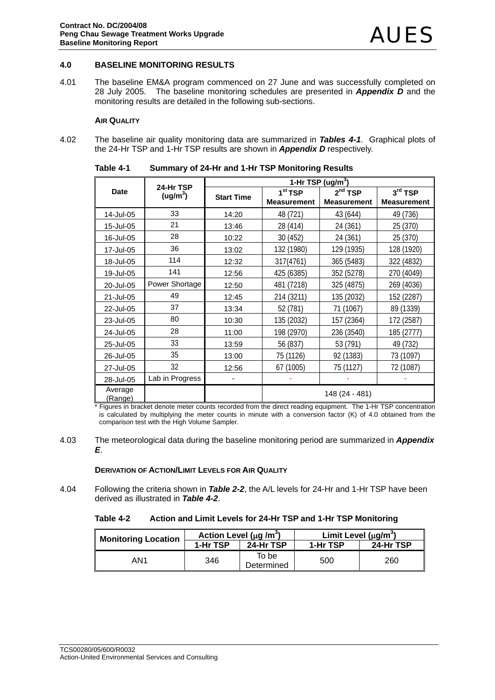# **4.0 BASELINE MONITORING RESULTS**

4.01 The baseline EM&A program commenced on 27 June and was successfully completed on 28 July 2005. The baseline monitoring schedules are presented in *Appendix D* and the monitoring results are detailed in the following sub-sections.

#### **AIR QUALITY**

4.02 The baseline air quality monitoring data are summarized in *Tables 4-1*. Graphical plots of the 24-Hr TSP and 1-Hr TSP results are shown in *Appendix D* respectively.

|                    | 24-Hr TSP            |                   | 1-Hr TSP (ug/m <sup>3</sup> ) |                     |                     |  |  |  |
|--------------------|----------------------|-------------------|-------------------------------|---------------------|---------------------|--|--|--|
| <b>Date</b>        | (ug/m <sup>3</sup> ) | <b>Start Time</b> | 1 <sup>st</sup> TSP           | 2 <sup>nd</sup> TSP | 3 <sup>rd</sup> TSP |  |  |  |
|                    |                      |                   | <b>Measurement</b>            | <b>Measurement</b>  | <b>Measurement</b>  |  |  |  |
| 14-Jul-05          | 33                   | 14:20             | 48 (721)                      | 43 (644)            | 49 (736)            |  |  |  |
| 15-Jul-05          | 21                   | 13:46             | 28 (414)                      | 24 (361)            | 25 (370)            |  |  |  |
| 16-Jul-05          | 28                   | 10:22             | 30 (452)                      | 24 (361)            | 25 (370)            |  |  |  |
| 17-Jul-05          | 36                   | 13:02             | 132 (1980)                    | 129 (1935)          | 128 (1920)          |  |  |  |
| 18-Jul-05          | 114                  | 12:32             | 317(4761)                     | 365 (5483)          | 322 (4832)          |  |  |  |
| 19-Jul-05          | 141                  | 12:56             | 425 (6385)                    | 352 (5278)          | 270 (4049)          |  |  |  |
| 20-Jul-05          | Power Shortage       | 12:50             | 481 (7218)                    | 325 (4875)          | 269 (4036)          |  |  |  |
| 21-Jul-05          | 49                   | 12:45             | 214 (3211)                    | 135 (2032)          | 152 (2287)          |  |  |  |
| 22-Jul-05          | 37                   | 13:34             | 52 (781)                      | 71 (1067)           | 89 (1339)           |  |  |  |
| 23-Jul-05          | 80                   | 10:30             | 135 (2032)                    | 157 (2364)          | 172 (2587)          |  |  |  |
| 24-Jul-05          | 28                   | 11:00             | 198 (2970)                    | 236 (3540)          | 185 (2777)          |  |  |  |
| 25-Jul-05          | 33                   | 13:59             | 56 (837)                      | 53 (791)            | 49 (732)            |  |  |  |
| 26-Jul-05          | 35                   | 13:00             | 75 (1126)                     | 92 (1383)           | 73 (1097)           |  |  |  |
| 27-Jul-05          | 32                   | 12:56             | 67 (1005)                     | 75 (1127)           | 72 (1087)           |  |  |  |
| 28-Jul-05          | Lab in Progress      |                   |                               |                     |                     |  |  |  |
| Average<br>(Range) |                      |                   | 148 (24 - 481)                |                     |                     |  |  |  |

**Table 4-1 Summary of 24-Hr and 1-Hr TSP Monitoring Results** 

\* Figures in bracket denote meter counts recorded from the direct reading equipment. The 1-Hr TSP concentration is calculated by multiplying the meter counts in minute with a conversion factor (K) of 4.0 obtained from the comparison test with the High Volume Sampler.

#### 4.03 The meteorological data during the baseline monitoring period are summarized in *Appendix E*.

### **DERIVATION OF ACTION/LIMIT LEVELS FOR AIR QUALITY**

4.04 Following the criteria shown in *Table 2-2*, the A/L levels for 24-Hr and 1-Hr TSP have been derived as illustrated in *Table 4-2*.

| Table 4-2 | Action and Limit Levels for 24-Hr TSP and 1-Hr TSP Monitoring |
|-----------|---------------------------------------------------------------|
|-----------|---------------------------------------------------------------|

| <b>Monitoring Location</b> | Action Level ( $\mu$ g /m <sup>3</sup> ) |                     | Limit Level $(\mu g/m^3)$ |           |  |
|----------------------------|------------------------------------------|---------------------|---------------------------|-----------|--|
|                            | 1-Hr TSP                                 | 24-Hr TSP           | 1-Hr TSP                  | 24-Hr TSP |  |
| AN1                        | 346                                      | To be<br>Determined | 500                       | 260       |  |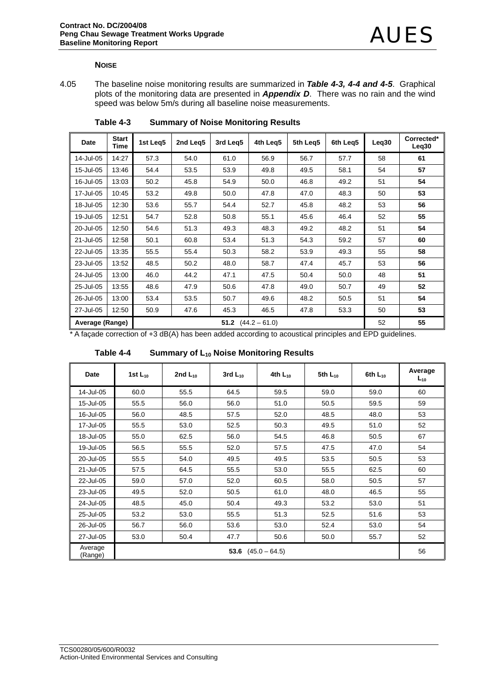#### **NOISE**

4.05 The baseline noise monitoring results are summarized in *Table 4-3, 4-4 and 4-5*. Graphical plots of the monitoring data are presented in *Appendix D*. There was no rain and the wind speed was below 5m/s during all baseline noise measurements.

| Date            | <b>Start</b><br>Time | 1st Leg5 | 2nd Leg5 | 3rd Leg5 | 4th Leg5        | 5th Leg5 | 6th Leg5 | Leq30 | Corrected*<br>Leq30 |
|-----------------|----------------------|----------|----------|----------|-----------------|----------|----------|-------|---------------------|
| 14-Jul-05       | 14:27                | 57.3     | 54.0     | 61.0     | 56.9            | 56.7     | 57.7     | 58    | 61                  |
| 15-Jul-05       | 13:46                | 54.4     | 53.5     | 53.9     | 49.8            | 49.5     | 58.1     | 54    | 57                  |
| 16-Jul-05       | 13:03                | 50.2     | 45.8     | 54.9     | 50.0            | 46.8     | 49.2     | 51    | 54                  |
| 17-Jul-05       | 10:45                | 53.2     | 49.8     | 50.0     | 47.8            | 47.0     | 48.3     | 50    | 53                  |
| 18-Jul-05       | 12:30                | 53.6     | 55.7     | 54.4     | 52.7            | 45.8     | 48.2     | 53    | 56                  |
| 19-Jul-05       | 12:51                | 54.7     | 52.8     | 50.8     | 55.1            | 45.6     | 46.4     | 52    | 55                  |
| 20-Jul-05       | 12:50                | 54.6     | 51.3     | 49.3     | 48.3            | 49.2     | 48.2     | 51    | 54                  |
| 21-Jul-05       | 12:58                | 50.1     | 60.8     | 53.4     | 51.3            | 54.3     | 59.2     | 57    | 60                  |
| 22-Jul-05       | 13:35                | 55.5     | 55.4     | 50.3     | 58.2            | 53.9     | 49.3     | 55    | 58                  |
| 23-Jul-05       | 13:52                | 48.5     | 50.2     | 48.0     | 58.7            | 47.4     | 45.7     | 53    | 56                  |
| 24-Jul-05       | 13:00                | 46.0     | 44.2     | 47.1     | 47.5            | 50.4     | 50.0     | 48    | 51                  |
| 25-Jul-05       | 13:55                | 48.6     | 47.9     | 50.6     | 47.8            | 49.0     | 50.7     | 49    | 52                  |
| 26-Jul-05       | 13:00                | 53.4     | 53.5     | 50.7     | 49.6            | 48.2     | 50.5     | 51    | 54                  |
| 27-Jul-05       | 12:50                | 50.9     | 47.6     | 45.3     | 46.5            | 47.8     | 53.3     | 50    | 53                  |
| Average (Range) |                      |          |          | 51.2     | $(44.2 - 61.0)$ |          |          | 52    | 55                  |

**Table 4-3 Summary of Noise Monitoring Results** 

\* A façade correction of +3 dB(A) has been added according to acoustical principles and EPD guidelines.

Table 4-4 Summary of L<sub>10</sub> Noise Monitoring Results

| Date               | 1st $L_{10}$         | 2nd $L_{10}$ | 3rd $L_{10}$ | 4th $L_{10}$ | 5th $L_{10}$ | 6th $L_{10}$ | Average<br>$L_{10}$ |
|--------------------|----------------------|--------------|--------------|--------------|--------------|--------------|---------------------|
| 14-Jul-05          | 60.0                 | 55.5         | 64.5         | 59.5         | 59.0         | 59.0         | 60                  |
| 15-Jul-05          | 55.5                 | 56.0         | 56.0         | 51.0         | 50.5         | 59.5         | 59                  |
| 16-Jul-05          | 56.0                 | 48.5         | 57.5         | 52.0         | 48.5         | 48.0         | 53                  |
| 17-Jul-05          | 55.5                 | 53.0         | 52.5         | 50.3         | 49.5         | 51.0         | 52                  |
| 18-Jul-05          | 55.0                 | 62.5         | 56.0         | 54.5         | 46.8         | 50.5         | 67                  |
| 19-Jul-05          | 56.5                 | 55.5         | 52.0         | 57.5         | 47.5         | 47.0         | 54                  |
| 20-Jul-05          | 55.5                 | 54.0         | 49.5         | 49.5         | 53.5         | 50.5         | 53                  |
| 21-Jul-05          | 57.5                 | 64.5         | 55.5         | 53.0         | 55.5         | 62.5         | 60                  |
| 22-Jul-05          | 59.0                 | 57.0         | 52.0         | 60.5         | 58.0         | 50.5         | 57                  |
| 23-Jul-05          | 49.5                 | 52.0         | 50.5         | 61.0         | 48.0         | 46.5         | 55                  |
| 24-Jul-05          | 48.5                 | 45.0         | 50.4         | 49.3         | 53.2         | 53.0         | 51                  |
| 25-Jul-05          | 53.2                 | 53.0         | 55.5         | 51.3         | 52.5         | 51.6         | 53                  |
| 26-Jul-05          | 56.7                 | 56.0         | 53.6         | 53.0         | 52.4         | 53.0         | 54                  |
| 27-Jul-05          | 53.0                 | 50.4         | 47.7         | 50.6         | 50.0         | 55.7         | 52                  |
| Average<br>(Range) | 53.6 $(45.0 - 64.5)$ |              |              |              |              |              | 56                  |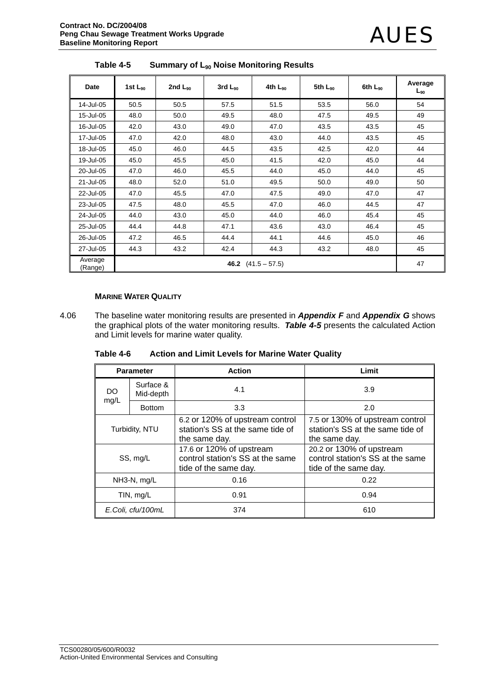| Date                                       | 1st $L_{90}$ | 2nd $L_{90}$ | $3rd$ $L_{90}$ | 4th $L_{90}$ | 5th L <sub>90</sub> | 6th $L_{90}$ | Average<br>$L_{90}$ |
|--------------------------------------------|--------------|--------------|----------------|--------------|---------------------|--------------|---------------------|
| 14-Jul-05                                  | 50.5         | 50.5         | 57.5           | 51.5         | 53.5                | 56.0         | 54                  |
| 15-Jul-05                                  | 48.0         | 50.0         | 49.5           | 48.0         | 47.5                | 49.5         | 49                  |
| 16-Jul-05                                  | 42.0         | 43.0         | 49.0           | 47.0         | 43.5                | 43.5         | 45                  |
| 17-Jul-05                                  | 47.0         | 42.0         | 48.0           | 43.0         | 44.0                | 43.5         | 45                  |
| 18-Jul-05                                  | 45.0         | 46.0         | 44.5           | 43.5         | 42.5                | 42.0         | 44                  |
| 19-Jul-05                                  | 45.0         | 45.5         | 45.0           | 41.5         | 42.0                | 45.0         | 44                  |
| 20-Jul-05                                  | 47.0         | 46.0         | 45.5           | 44.0         | 45.0                | 44.0         | 45                  |
| 21-Jul-05                                  | 48.0         | 52.0         | 51.0           | 49.5         | 50.0                | 49.0         | 50                  |
| 22-Jul-05                                  | 47.0         | 45.5         | 47.0           | 47.5         | 49.0                | 47.0         | 47                  |
| 23-Jul-05                                  | 47.5         | 48.0         | 45.5           | 47.0         | 46.0                | 44.5         | 47                  |
| 24-Jul-05                                  | 44.0         | 43.0         | 45.0           | 44.0         | 46.0                | 45.4         | 45                  |
| 25-Jul-05                                  | 44.4         | 44.8         | 47.1           | 43.6         | 43.0                | 46.4         | 45                  |
| 26-Jul-05                                  | 47.2         | 46.5         | 44.4           | 44.1         | 44.6                | 45.0         | 46                  |
| 27-Jul-05                                  | 44.3         | 43.2         | 42.4           | 44.3         | 43.2                | 48.0         | 45                  |
| Average<br>46.2 $(41.5 - 57.5)$<br>(Range) |              |              |                |              |                     | 47           |                     |

Table 4-5 Summary of L<sub>90</sub> Noise Monitoring Results

# **MARINE WATER QUALITY**

4.06 The baseline water monitoring results are presented in *Appendix F* and *Appendix G* shows the graphical plots of the water monitoring results. *Table 4-5* presents the calculated Action and Limit levels for marine water quality.

**Table 4-6 Action and Limit Levels for Marine Water Quality** 

| <b>Parameter</b>              |               | <b>Action</b>                                                                         | Limit                                                                                 |
|-------------------------------|---------------|---------------------------------------------------------------------------------------|---------------------------------------------------------------------------------------|
| Surface &<br>DO.<br>Mid-depth |               | 4.1                                                                                   | 3.9                                                                                   |
| mg/L                          | <b>Bottom</b> | 3.3                                                                                   | 2.0                                                                                   |
| Turbidity, NTU                |               | 6.2 or 120% of upstream control<br>station's SS at the same tide of<br>the same day.  | 7.5 or 130% of upstream control<br>station's SS at the same tide of<br>the same day.  |
| SS, mg/L                      |               | 17.6 or 120% of upstream<br>control station's SS at the same<br>tide of the same day. | 20.2 or 130% of upstream<br>control station's SS at the same<br>tide of the same day. |
| NH3-N, mg/L                   |               | 0.16                                                                                  | 0.22                                                                                  |
| TIN, mg/L                     |               | 0.91                                                                                  | 0.94                                                                                  |
| E.Coli, cfu/100mL             |               | 374                                                                                   | 610                                                                                   |